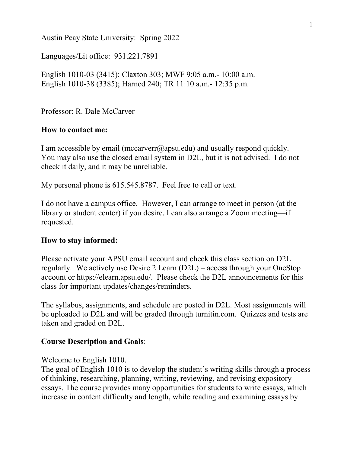Austin Peay State University: Spring 2022

Languages/Lit office: 931.221.7891

English 1010-03 (3415); Claxton 303; MWF 9:05 a.m.- 10:00 a.m. English 1010-38 (3385); Harned 240; TR 11:10 a.m.- 12:35 p.m.

Professor: R. Dale McCarver

### **How to contact me:**

I am accessible by email (mccarverr $(\partial_i)$ apsu.edu) and usually respond quickly. You may also use the closed email system in D2L, but it is not advised. I do not check it daily, and it may be unreliable.

My personal phone is 615.545.8787. Feel free to call or text.

I do not have a campus office. However, I can arrange to meet in person (at the library or student center) if you desire. I can also arrange a Zoom meeting—if requested.

### **How to stay informed:**

Please activate your APSU email account and check this class section on D2L regularly. We actively use Desire 2 Learn (D2L) – access through your OneStop account or https://elearn.apsu.edu/. Please check the D2L announcements for this class for important updates/changes/reminders.

The syllabus, assignments, and schedule are posted in D2L. Most assignments will be uploaded to D2L and will be graded through turnitin.com. Quizzes and tests are taken and graded on D2L.

### **Course Description and Goals**:

### Welcome to English 1010.

The goal of English 1010 is to develop the student's writing skills through a process of thinking, researching, planning, writing, reviewing, and revising expository essays. The course provides many opportunities for students to write essays, which increase in content difficulty and length, while reading and examining essays by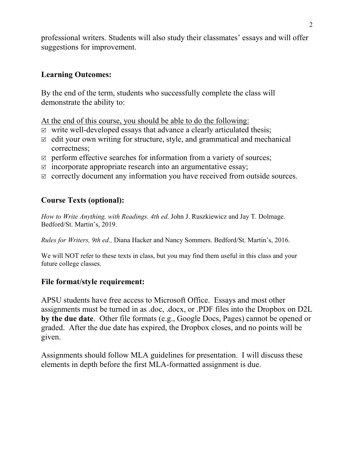professional writers. Students will also study their classmates' essays and will offer suggestions for improvement.

## **Learning Outcomes:**

By the end of the term, students who successfully complete the class will demonstrate the ability to:

At the end of this course, you should be able to do the following:

- $\triangledown$  write well-developed essays that advance a clearly articulated thesis;
- $\boxtimes$  edit your own writing for structure, style, and grammatical and mechanical correctness;
- $\triangledown$  perform effective searches for information from a variety of sources;
- $\Box$  incorporate appropriate research into an argumentative essay;
- $\triangledown$  correctly document any information you have received from outside sources.

# **Course Texts (optional):**

*How to Write Anything, with Readings. 4th ed.* John J. Ruszkiewicz and Jay T. Dolmage. Bedford/St. Martin's, 2019.

*Rules for Writers, 9th ed.,* Diana Hacker and Nancy Sommers. Bedford/St. Martin's, 2016.

We will NOT refer to these texts in class, but you may find them useful in this class and your future college classes.

### **File format/style requirement:**

APSU students have free access to Microsoft Office. Essays and most other assignments must be turned in as .doc, .docx, or .PDF files into the Dropbox on D2L **by the due date**. Other file formats (e.g., Google Docs, Pages) cannot be opened or graded. After the due date has expired, the Dropbox closes, and no points will be given.

Assignments should follow MLA guidelines for presentation. I will discuss these elements in depth before the first MLA-formatted assignment is due.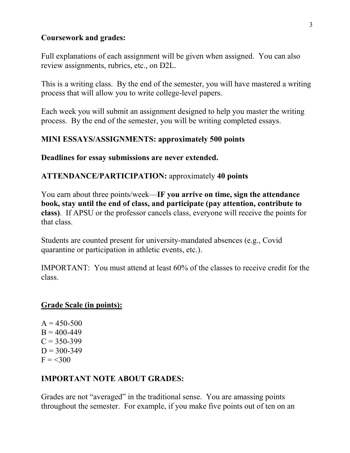### **Coursework and grades:**

Full explanations of each assignment will be given when assigned. You can also review assignments, rubrics, etc., on D2L.

This is a writing class. By the end of the semester, you will have mastered a writing process that will allow you to write college-level papers.

Each week you will submit an assignment designed to help you master the writing process. By the end of the semester, you will be writing completed essays.

## **MINI ESSAYS/ASSIGNMENTS: approximately 500 points**

### **Deadlines for essay submissions are never extended.**

## **ATTENDANCE/PARTICIPATION:** approximately **40 points**

You earn about three points/week—**IF you arrive on time, sign the attendance book, stay until the end of class, and participate (pay attention, contribute to class)**. If APSU or the professor cancels class, everyone will receive the points for that class.

Students are counted present for university-mandated absences (e.g., Covid quarantine or participation in athletic events, etc.).

IMPORTANT: You must attend at least 60% of the classes to receive credit for the class.

### **Grade Scale (in points):**

 $A = 450 - 500$  $B = 400 - 449$  $C = 350 - 399$  $D = 300 - 349$  $F = 300$ 

## **IMPORTANT NOTE ABOUT GRADES:**

Grades are not "averaged" in the traditional sense. You are amassing points throughout the semester. For example, if you make five points out of ten on an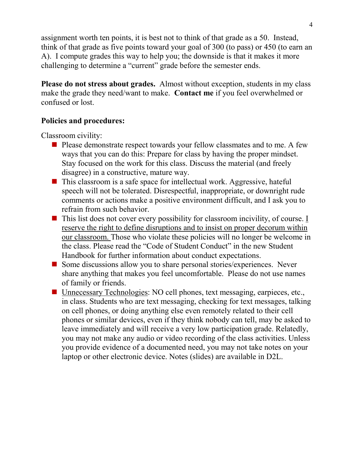assignment worth ten points, it is best not to think of that grade as a 50. Instead, think of that grade as five points toward your goal of 300 (to pass) or 450 (to earn an A). I compute grades this way to help you; the downside is that it makes it more challenging to determine a "current" grade before the semester ends.

**Please do not stress about grades.** Almost without exception, students in my class make the grade they need/want to make. **Contact me** if you feel overwhelmed or confused or lost.

## **Policies and procedures:**

Classroom civility:

- **Please demonstrate respect towards your fellow classmates and to me. A few** ways that you can do this: Prepare for class by having the proper mindset. Stay focused on the work for this class. Discuss the material (and freely disagree) in a constructive, mature way.
- $\blacksquare$  This classroom is a safe space for intellectual work. Aggressive, hateful speech will not be tolerated. Disrespectful, inappropriate, or downright rude comments or actions make a positive environment difficult, and I ask you to refrain from such behavior.
- $\blacksquare$  This list does not cover every possibility for classroom incivility, of course. I reserve the right to define disruptions and to insist on proper decorum within our classroom. Those who violate these policies will no longer be welcome in the class. Please read the "Code of Student Conduct" in the new Student Handbook for further information about conduct expectations.
- Some discussions allow you to share personal stories/experiences. Never share anything that makes you feel uncomfortable. Please do not use names of family or friends.
- Unnecessary Technologies: NO cell phones, text messaging, earpieces, etc., in class. Students who are text messaging, checking for text messages, talking on cell phones, or doing anything else even remotely related to their cell phones or similar devices, even if they think nobody can tell, may be asked to leave immediately and will receive a very low participation grade. Relatedly, you may not make any audio or video recording of the class activities. Unless you provide evidence of a documented need, you may not take notes on your laptop or other electronic device. Notes (slides) are available in D2L.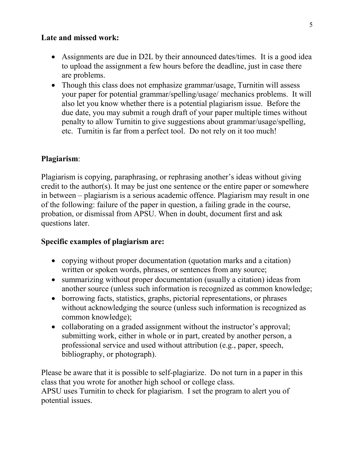## **Late and missed work:**

- Assignments are due in D2L by their announced dates/times. It is a good idea to upload the assignment a few hours before the deadline, just in case there are problems.
- Though this class does not emphasize grammar/usage, Turnitin will assess your paper for potential grammar/spelling/usage/ mechanics problems. It will also let you know whether there is a potential plagiarism issue. Before the due date, you may submit a rough draft of your paper multiple times without penalty to allow Turnitin to give suggestions about grammar/usage/spelling, etc. Turnitin is far from a perfect tool. Do not rely on it too much!

## **Plagiarism**:

Plagiarism is copying, paraphrasing, or rephrasing another's ideas without giving credit to the author(s). It may be just one sentence or the entire paper or somewhere in between – plagiarism is a serious academic offence. Plagiarism may result in one of the following: failure of the paper in question, a failing grade in the course, probation, or dismissal from APSU. When in doubt, document first and ask questions later.

## **Specific examples of plagiarism are:**

- copying without proper documentation (quotation marks and a citation) written or spoken words, phrases, or sentences from any source;
- summarizing without proper documentation (usually a citation) ideas from another source (unless such information is recognized as common knowledge;
- borrowing facts, statistics, graphs, pictorial representations, or phrases without acknowledging the source (unless such information is recognized as common knowledge);
- collaborating on a graded assignment without the instructor's approval; submitting work, either in whole or in part, created by another person, a professional service and used without attribution (e.g., paper, speech, bibliography, or photograph).

Please be aware that it is possible to self-plagiarize. Do not turn in a paper in this class that you wrote for another high school or college class. APSU uses Turnitin to check for plagiarism. I set the program to alert you of potential issues.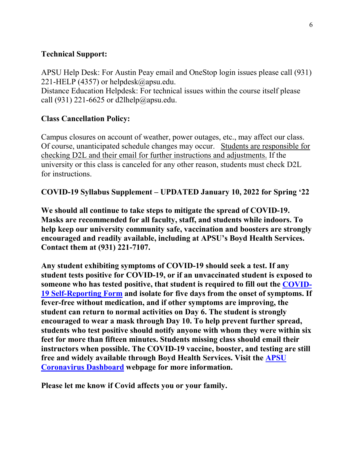## **Technical Support:**

APSU Help Desk: For Austin Peay email and OneStop login issues please call (931) 221-HELP (4357) or helpdesk $@$ apsu.edu.

Distance Education Helpdesk: For technical issues within the course itself please call (931) 221-6625 or [d2lhelp@apsu.edu.](mailto:d2lhelp@apsu.edu)

# **Class Cancellation Policy:**

Campus closures on account of weather, power outages, etc., may affect our class. Of course, unanticipated schedule changes may occur. Students are responsible for checking D2L and their email for further instructions and adjustments. If the university or this class is canceled for any other reason, students must check D2L for instructions.

**COVID-19 Syllabus Supplement – UPDATED January 10, 2022 for Spring '22**

**We should all continue to take steps to mitigate the spread of COVID-19. Masks are recommended for all faculty, staff, and students while indoors. To help keep our university community safe, vaccination and boosters are strongly encouraged and readily available, including at APSU's Boyd Health Services. Contact them at (931) 221-7107.**

**Any student exhibiting symptoms of COVID-19 should seek a test. If any student tests positive for COVID-19, or if an unvaccinated student is exposed to someone who has tested positive, that student is required to fill out the [COVID-](https://cm.maxient.com/reportingform.php?AustinPeayStateUniv&layout_id=19)[19 Self-Reporting Form](https://cm.maxient.com/reportingform.php?AustinPeayStateUniv&layout_id=19) and isolate for five days from the onset of symptoms. If fever-free without medication, and if other symptoms are improving, the student can return to normal activities on Day 6. The student is strongly encouraged to wear a mask through Day 10. To help prevent further spread, students who test positive should notify anyone with whom they were within six feet for more than fifteen minutes. Students missing class should email their instructors when possible. The COVID-19 vaccine, booster, and testing are still free and widely available through Boyd Health Services. Visit the [APSU](https://apsu.edu/coronavirus/index.php)  [Coronavirus Dashboard](https://apsu.edu/coronavirus/index.php) webpage for more information.**

**Please let me know if Covid affects you or your family.**